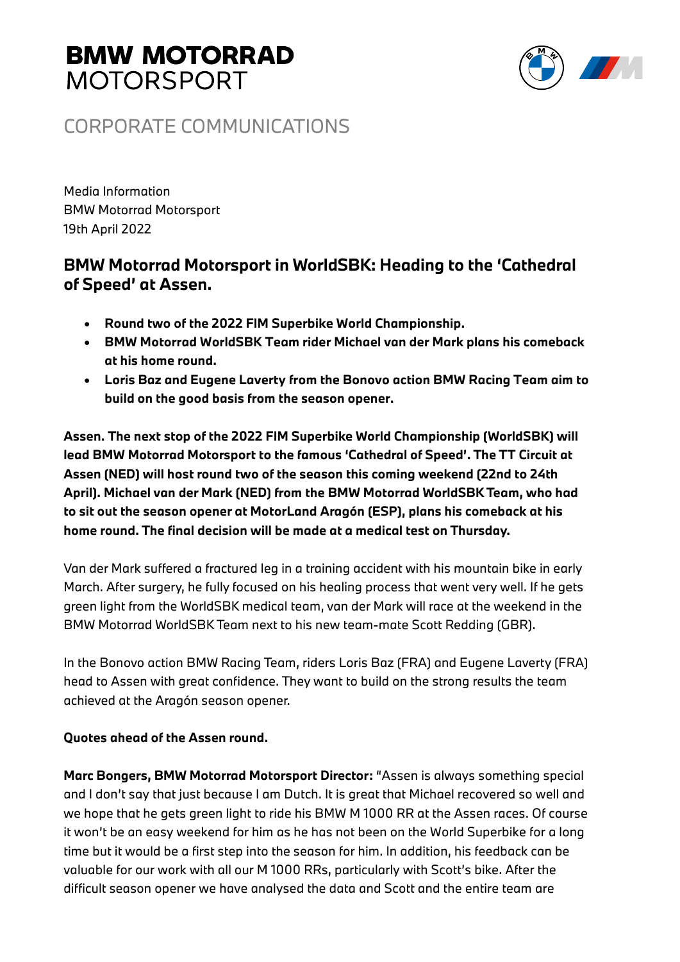# **BMW MOTORRAD MOTORSPORT**



## CORPORATE COMMUNICATIONS

Media Information BMW Motorrad Motorsport 19th April 2022

### **BMW Motorrad Motorsport in WorldSBK: Heading to the 'Cathedral of Speed' at Assen.**

- **Round two of the 2022 FIM Superbike World Championship.**
- **BMW Motorrad WorldSBK Team rider Michael van der Mark plans his comeback at his home round.**
- **Loris Baz and Eugene Laverty from the Bonovo action BMW Racing Team aim to build on the good basis from the season opener.**

**Assen. The next stop of the 2022 FIM Superbike World Championship (WorldSBK) will lead BMW Motorrad Motorsport to the famous 'Cathedral of Speed'. The TT Circuit at Assen (NED) will host round two of the season this coming weekend (22nd to 24th April). Michael van der Mark (NED) from the BMW Motorrad WorldSBK Team, who had to sit out the season opener at MotorLand Aragón (ESP), plans his comeback at his home round. The final decision will be made at a medical test on Thursday.**

Van der Mark suffered a fractured leg in a training accident with his mountain bike in early March. After surgery, he fully focused on his healing process that went very well. If he gets green light from the WorldSBK medical team, van der Mark will race at the weekend in the BMW Motorrad WorldSBK Team next to his new team-mate Scott Redding (GBR).

In the Bonovo action BMW Racing Team, riders Loris Baz (FRA) and Eugene Laverty (FRA) head to Assen with great confidence. They want to build on the strong results the team achieved at the Aragón season opener.

### **Quotes ahead of the Assen round.**

**Marc Bongers, BMW Motorrad Motorsport Director:** "Assen is always something special and I don't say that just because I am Dutch. It is great that Michael recovered so well and we hope that he gets green light to ride his BMW M 1000 RR at the Assen races. Of course it won't be an easy weekend for him as he has not been on the World Superbike for a long time but it would be a first step into the season for him. In addition, his feedback can be valuable for our work with all our M 1000 RRs, particularly with Scott's bike. After the difficult season opener we have analysed the data and Scott and the entire team are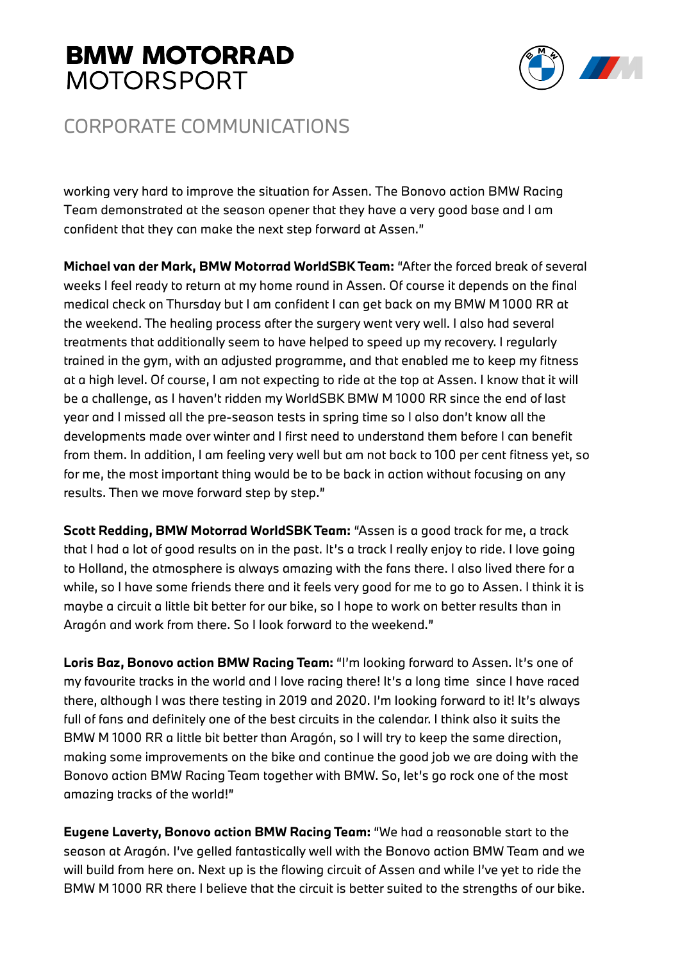# **BMW MOTORRAD MOTORSPORT**



## CORPORATE COMMUNICATIONS

working very hard to improve the situation for Assen. The Bonovo action BMW Racing Team demonstrated at the season opener that they have a very good base and I am confident that they can make the next step forward at Assen."

**Michael van der Mark, BMW Motorrad WorldSBK Team:** "After the forced break of several weeks I feel ready to return at my home round in Assen. Of course it depends on the final medical check on Thursday but I am confident I can get back on my BMW M 1000 RR at the weekend. The healing process after the surgery went very well. I also had several treatments that additionally seem to have helped to speed up my recovery. I regularly trained in the gym, with an adjusted programme, and that enabled me to keep my fitness at a high level. Of course, I am not expecting to ride at the top at Assen. I know that it will be a challenge, as I haven't ridden my WorldSBK BMW M 1000 RR since the end of last year and I missed all the pre-season tests in spring time so I also don't know all the developments made over winter and I first need to understand them before I can benefit from them. In addition, I am feeling very well but am not back to 100 per cent fitness yet, so for me, the most important thing would be to be back in action without focusing on any results. Then we move forward step by step."

**Scott Redding, BMW Motorrad WorldSBK Team:** "Assen is a good track for me, a track that I had a lot of good results on in the past. It's a track I really enjoy to ride. I love going to Holland, the atmosphere is always amazing with the fans there. I also lived there for a while, so I have some friends there and it feels very good for me to go to Assen. I think it is maybe a circuit a little bit better for our bike, so I hope to work on better results than in Aragón and work from there. So I look forward to the weekend."

**Loris Baz, Bonovo action BMW Racing Team:** "I'm looking forward to Assen. It's one of my favourite tracks in the world and I love racing there! It's a long time since I have raced there, although I was there testing in 2019 and 2020. I'm looking forward to it! It's always full of fans and definitely one of the best circuits in the calendar. I think also it suits the BMW M 1000 RR a little bit better than Aragón, so I will try to keep the same direction, making some improvements on the bike and continue the good job we are doing with the Bonovo action BMW Racing Team together with BMW. So, let's go rock one of the most amazing tracks of the world!"

**Eugene Laverty, Bonovo action BMW Racing Team:** "We had a reasonable start to the season at Aragón. I've gelled fantastically well with the Bonovo action BMW Team and we will build from here on. Next up is the flowing circuit of Assen and while I've yet to ride the BMW M 1000 RR there I believe that the circuit is better suited to the strengths of our bike.